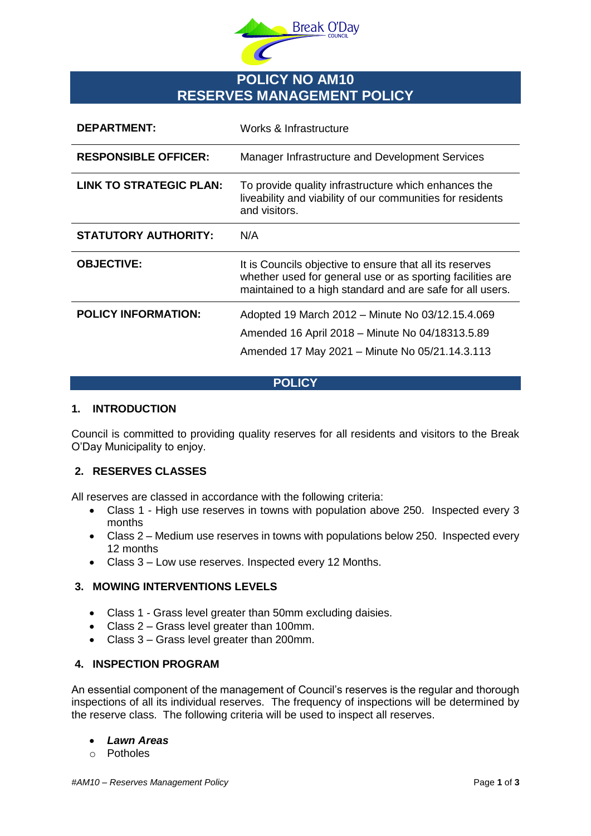

# **POLICY NO AM10 RESERVES MANAGEMENT POLICY**

| <b>DEPARTMENT:</b>             | Works & Infrastructure                                                                                                                                                              |
|--------------------------------|-------------------------------------------------------------------------------------------------------------------------------------------------------------------------------------|
| <b>RESPONSIBLE OFFICER:</b>    | Manager Infrastructure and Development Services                                                                                                                                     |
| <b>LINK TO STRATEGIC PLAN:</b> | To provide quality infrastructure which enhances the<br>liveability and viability of our communities for residents<br>and visitors.                                                 |
| <b>STATUTORY AUTHORITY:</b>    | N/A                                                                                                                                                                                 |
| <b>OBJECTIVE:</b>              | It is Councils objective to ensure that all its reserves<br>whether used for general use or as sporting facilities are<br>maintained to a high standard and are safe for all users. |
| <b>POLICY INFORMATION:</b>     | Adopted 19 March 2012 – Minute No 03/12.15.4.069<br>Amended 16 April 2018 - Minute No 04/18313.5.89<br>Amended 17 May 2021 - Minute No 05/21.14.3.113                               |

#### **POLICY**

# **1. INTRODUCTION**

Council is committed to providing quality reserves for all residents and visitors to the Break O'Day Municipality to enjoy.

# **2. RESERVES CLASSES**

All reserves are classed in accordance with the following criteria:

- Class 1 High use reserves in towns with population above 250. Inspected every 3 months
- Class 2 Medium use reserves in towns with populations below 250. Inspected every 12 months
- Class 3 Low use reserves. Inspected every 12 Months.

# **3. MOWING INTERVENTIONS LEVELS**

- Class 1 Grass level greater than 50mm excluding daisies.
- Class 2 Grass level greater than 100mm.
- Class 3 Grass level greater than 200mm.

#### **4. INSPECTION PROGRAM**

An essential component of the management of Council's reserves is the regular and thorough inspections of all its individual reserves. The frequency of inspections will be determined by the reserve class. The following criteria will be used to inspect all reserves.

#### *Lawn Areas*

o Potholes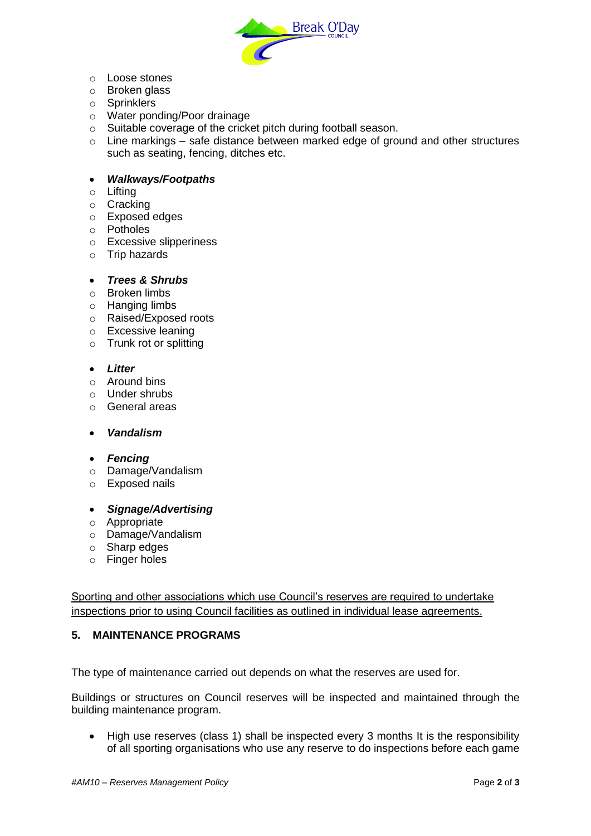

- o Loose stones
- o Broken glass
- o Sprinklers
- o Water ponding/Poor drainage
- o Suitable coverage of the cricket pitch during football season.
- $\circ$  Line markings safe distance between marked edge of ground and other structures such as seating, fencing, ditches etc.

### *Walkways/Footpaths*

- o Lifting
- o Cracking
- o Exposed edges
- o Potholes
- o Excessive slipperiness
- o Trip hazards

#### *Trees & Shrubs*

- o Broken limbs
- o Hanging limbs
- o Raised/Exposed roots
- o Excessive leaning
- o Trunk rot or splitting

# *Litter*

- o Around bins
- o Under shrubs
- o General areas
- *Vandalism*
- *Fencing*
- o Damage/Vandalism
- o Exposed nails
- *Signage/Advertising*
- o Appropriate
- o Damage/Vandalism
- o Sharp edges
- o Finger holes

Sporting and other associations which use Council's reserves are required to undertake inspections prior to using Council facilities as outlined in individual lease agreements.

#### **5. MAINTENANCE PROGRAMS**

The type of maintenance carried out depends on what the reserves are used for.

Buildings or structures on Council reserves will be inspected and maintained through the building maintenance program.

 High use reserves (class 1) shall be inspected every 3 months It is the responsibility of all sporting organisations who use any reserve to do inspections before each game